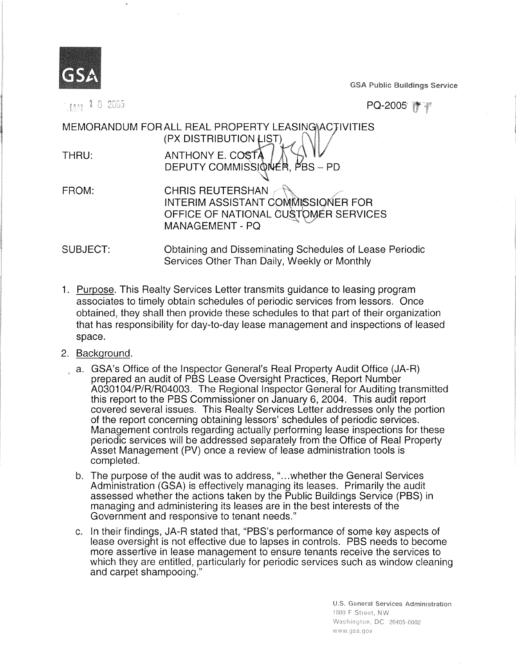

 $_{1001}$  1.8 2005

GSA Public Buildings Service

PQ-2005 **1** 

MEMORANDUM FOR ALL REAL PROPERTY LEASING ACTIVITIES (PX DISTRIBUTION LIST) THRU: ANTHONY E. cop -a DEPUTY COMMISSIQ**IVER**, PBS – PI FROM: CHRIS REUTERSHAN

INTERIM ASSISTANT COMMISSIONER FOR OFFICE OF NATIONAL CUSTOMER SERVICES MANAGEMENT-PQ

SUBJECT: Obtaining and Disseminating Schedules of Lease Periodic Services Other Than Daily, Weekly or Monthly

- 1. Purpose. This Realty Services Letter transmits guidance to leasing program associates to timely obtain schedules of periodic services from lessors. Once obtained, they shall then provide these schedules to that part of their organization that has responsibility for day-to-day lease management and inspections of leased space.
- 2. Background.
	- a. GSA's Office of the Inspector General's Real Property Audit Office (JA-R) prepared an audit of PBS Lease Oversight Practices, Report Number A030104/P/R/R04003. The Regional Inspector General for Auditing transmitted this report to the PBS Commissioner on January 6, 2004. This audit report covered several issues. This Realty Services Letter addresses only the portion of the report concerning obtaining lessors' schedules of periodic services. Management controls regarding actually performing lease inspections for these periodic services will be addressed separately from the Office of Real Property Asset Management (PV) once a review of lease administration tools is completed.
	- b. The purpose of the audit was to address, "...whether the General Services Administration (GSA) is effectively managing its leases. Primarily the audit assessed whether the actions taken by the Public Buildings Service (PBS) in managing and administering its leases are in the best interests of the Government and responsive to tenant needs."
	- c. In their findings, JA-R stated that, "PBS's performance of some key aspects of lease oversight is not effective due to lapses in controls. PBS needs to become more assertive in lease management to ensure tenants receive the services to which they are entitled, particularly for periodic services such as window cleaning and carpet shampooing."

U.S. General Services Administration<br>1800 F Street, NW Washington, DC 20405-0002 www.gsa.gov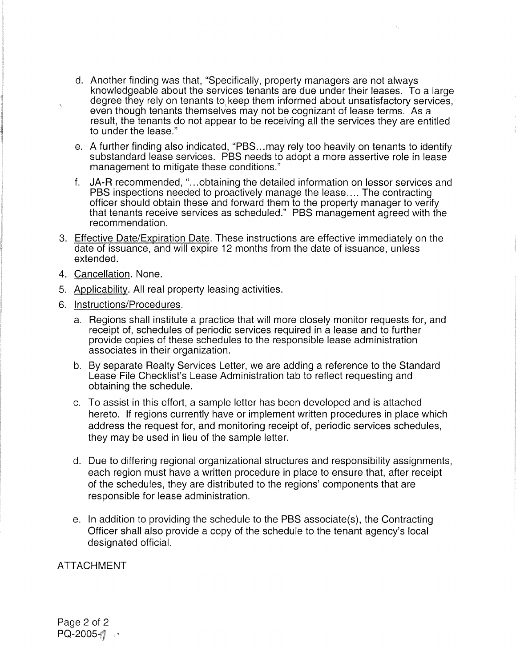- d. Another finding was that, "Specifically, property managers are not always knowledgeable about the services tenants are due under their leases. To a large degree they rely on tenants to keep them informed about unsatisfactory services, even though tenants themselves may not be cognizant of lease terms. As a result, the tenants do not appear to be receiving all the services they are entitled to under the lease."
- e. A further finding also indicated, "PBS...may rely too heavily on tenants to identify substandard lease services. PBS needs to adopt a more assertive role in lease management to mitigate these conditions."
- f. JA-R recommended, "...obtaining the detailed information on lessor services and PBS inspections needed to proactively manage the lease.... The contracting officer should obtain these and forward them to the property manager to verify that tenants receive services as scheduled." PBS management agreed with the recommendation.
- 3. Effective Date/Expiration Date. These instructions are effective immediately on the date of issuance, and will expire 12 months from the date of issuance, unless extended.
- 4. Cancellation. None.
- 5. Applicability. All real property leasing activities.
- 6. Instructions/Procedures.
	- a. Regions shall institute a practice that will more closely monitor requests for, and receipt of, schedules of periodic services required in a lease and to further provide copies of these schedules to the responsible lease administration associates in their organization.
	- b. By separate Realty Services Letter, we are adding a reference to the Standard Lease File Checklist's Lease Administration tab to reflect requesting and obtaining the schedule.
	- c. To assist in this effort, a sample letter has been developed and is attached hereto. If regions currently have or implement written procedures in place which address the request for, and monitoring receipt of, periodic services schedules, they may be used in lieu of the sample letter.
	- d. Due to differing regional organizational structures and responsibility assignments, each region must have a written procedure in place to ensure that, after receipt of the schedules, they are distributed to the regions' components that are responsible for lease administration.
	- e. In addition to providing the schedule to the PBS associate(s), the Contracting Officer shall also provide a copy of the schedule to the tenant agency's local designated official.

ATTACHMENT